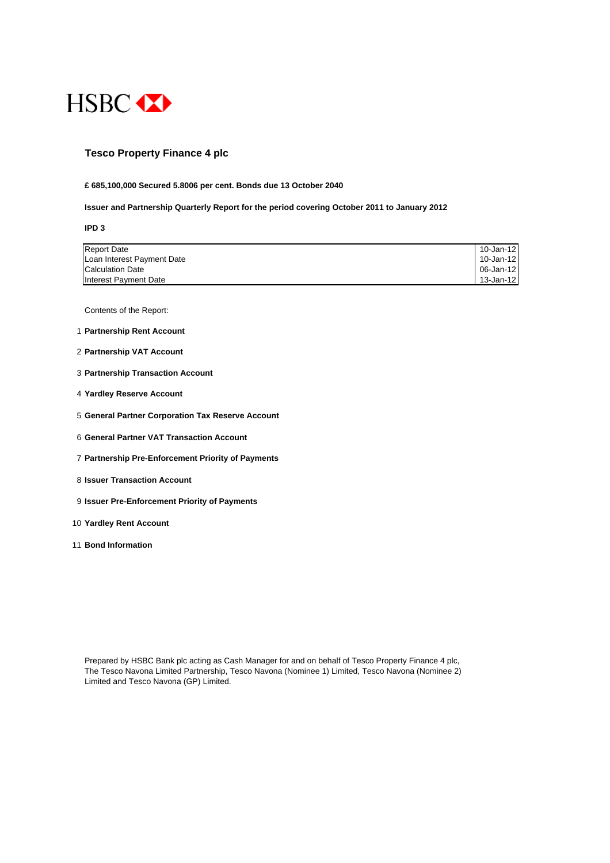

## **Tesco Property Finance 4 plc**

#### **£ 685,100,000 Secured 5.8006 per cent. Bonds due 13 October 2040**

#### **Issuer and Partnership Quarterly Report for the period covering October 2011 to January 2012**

**IPD 3**

| <b>Report Date</b>         | 10-Jan-12 |
|----------------------------|-----------|
| Loan Interest Payment Date | 10-Jan-12 |
| <b>Calculation Date</b>    | 06-Jan-12 |
| Interest Payment Date      | 13-Jan-12 |

Contents of the Report:

- 1 **Partnership Rent Account**
- 2 **Partnership VAT Account**
- 3 **Partnership Transaction Account**
- 4 **Yardley Reserve Account**
- 5 **General Partner Corporation Tax Reserve Account**
- 6 **General Partner VAT Transaction Account**
- 7 **Partnership Pre-Enforcement Priority of Payments**
- 8 **Issuer Transaction Account**
- 9 **Issuer Pre-Enforcement Priority of Payments**
- 10 **Yardley Rent Account**
- 11 **Bond Information**

Prepared by HSBC Bank plc acting as Cash Manager for and on behalf of Tesco Property Finance 4 plc, The Tesco Navona Limited Partnership, Tesco Navona (Nominee 1) Limited, Tesco Navona (Nominee 2) Limited and Tesco Navona (GP) Limited.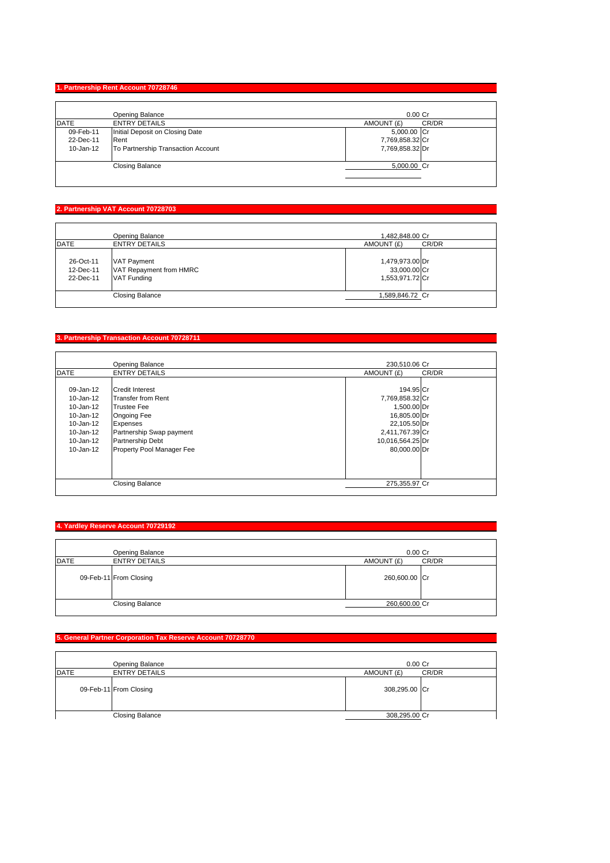### **1. Partnership Rent Account 70728746**

|             | <b>Opening Balance</b>             | $0.00$ Cr           |
|-------------|------------------------------------|---------------------|
| <b>DATE</b> | <b>ENTRY DETAILS</b>               | CR/DR<br>AMOUNT (£) |
| 09-Feb-11   | Initial Deposit on Closing Date    | 5,000.00 Cr         |
| 22-Dec-11   | Rent                               | 7,769,858.32 Cr     |
| 10-Jan-12   | To Partnership Transaction Account | 7,769,858.32 Dr     |
|             | <b>Closing Balance</b>             | 5,000.00 Cr         |

#### **2. Partnership VAT Account 70728703**

|                                     | Opening Balance                                                     | 1,482,848.00 Cr                                    |       |
|-------------------------------------|---------------------------------------------------------------------|----------------------------------------------------|-------|
| <b>DATE</b>                         | <b>ENTRY DETAILS</b>                                                | AMOUNT (£)                                         | CR/DR |
| 26-Oct-11<br>12-Dec-11<br>22-Dec-11 | <b>VAT Payment</b><br>VAT Repayment from HMRC<br><b>VAT Funding</b> | 1,479,973.00 Dr<br>33,000.00 Cr<br>1,553,971.72 Cr |       |
|                                     | <b>Closing Balance</b>                                              | 1,589,846.72 Cr                                    |       |

### **3. Partnership Transaction Account 70728711**

|               | <b>Opening Balance</b>    | 230.510.06 Cr       |  |
|---------------|---------------------------|---------------------|--|
| <b>DATE</b>   | <b>ENTRY DETAILS</b>      | CR/DR<br>AMOUNT (£) |  |
|               |                           |                     |  |
| 09-Jan-12     | <b>Credit Interest</b>    | 194.95 Cr           |  |
| 10-Jan-12     | <b>Transfer from Rent</b> | 7,769,858.32 Cr     |  |
| $10 - Jan-12$ | <b>Trustee Fee</b>        | 1,500.00 Dr         |  |
| 10-Jan-12     | Ongoing Fee               | 16,805.00 Dr        |  |
| 10-Jan-12     | Expenses                  | 22,105.50 Dr        |  |
| 10-Jan-12     | Partnership Swap payment  | 2,411,767.39 Cr     |  |
| 10-Jan-12     | Partnership Debt          | 10,016,564.25 Dr    |  |
| 10-Jan-12     | Property Pool Manager Fee | 80.000.00 Dr        |  |
|               |                           |                     |  |
|               | <b>Closing Balance</b>    | 275,355.97 Cr       |  |

### **4. Yardley Reserve Account 70729192**

|             | Opening Balance        | $0.00$ Cr     |       |
|-------------|------------------------|---------------|-------|
| <b>DATE</b> | <b>ENTRY DETAILS</b>   | AMOUNT (£)    | CR/DR |
|             | 09-Feb-11 From Closing | 260,600.00 Cr |       |
|             | <b>Closing Balance</b> | 260,600.00 Cr |       |

### **5. General Partner Corporation Tax Reserve Account 70728770**

|      | Opening Balance        | $0.00$ Cr     |       |
|------|------------------------|---------------|-------|
| DATE | <b>ENTRY DETAILS</b>   | AMOUNT (£)    | CR/DR |
|      | 09-Feb-11 From Closing | 308,295.00 Cr |       |
|      | <b>Closing Balance</b> | 308,295.00 Cr |       |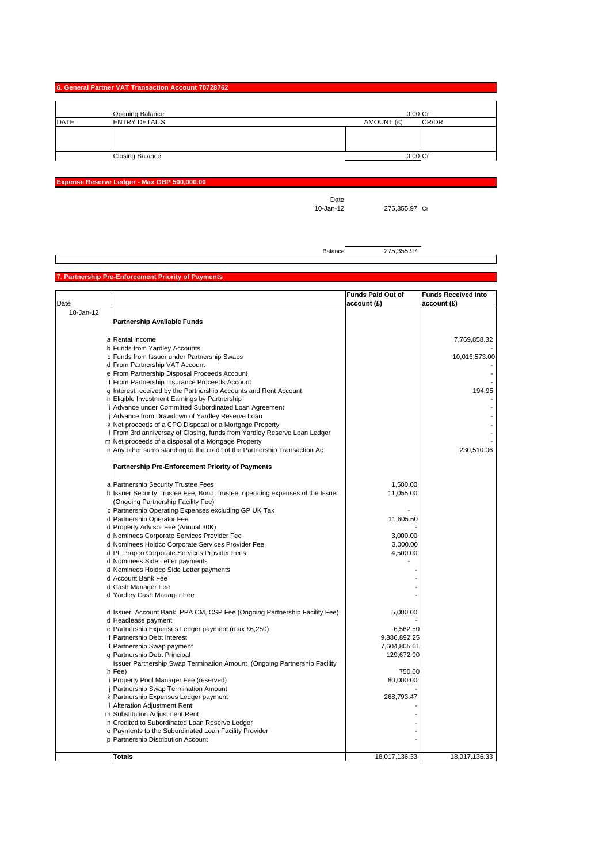| 6. General Partner VAT Transaction Account 70728762 |  |
|-----------------------------------------------------|--|
|-----------------------------------------------------|--|

|             | Opening Balance        |            | 0.00 Cr   |
|-------------|------------------------|------------|-----------|
| <b>DATE</b> | <b>ENTRY DETAILS</b>   | AMOUNT (£) | CR/DR     |
|             |                        |            |           |
|             |                        |            |           |
|             |                        |            |           |
|             | <b>Closing Balance</b> |            | $0.00$ Cr |

**Expense Reserve Ledger - Max GBP 500,000.00**

Date<br>10-Jan-12

275,355.97 Cr

Balance 275,355.97

### **7. Partnership Pre-Enforcement Priority of Payments**

|           |                                                                               | <b>Funds Paid Out of</b> | <b>Funds Received into</b> |
|-----------|-------------------------------------------------------------------------------|--------------------------|----------------------------|
| Date      |                                                                               | account(E)               | account (£)                |
| 10-Jan-12 |                                                                               |                          |                            |
|           | <b>Partnership Available Funds</b>                                            |                          |                            |
|           |                                                                               |                          |                            |
|           | a Rental Income                                                               |                          | 7,769,858.32               |
|           | b Funds from Yardley Accounts                                                 |                          |                            |
|           | c Funds from Issuer under Partnership Swaps                                   |                          | 10,016,573.00              |
|           | d From Partnership VAT Account                                                |                          |                            |
|           | e From Partnership Disposal Proceeds Account                                  |                          |                            |
|           | f From Partnership Insurance Proceeds Account                                 |                          |                            |
|           | g Interest received by the Partnership Accounts and Rent Account              |                          | 194.95                     |
|           | h Eligible Investment Earnings by Partnership                                 |                          |                            |
|           | i Advance under Committed Subordinated Loan Agreement                         |                          |                            |
|           | j Advance from Drawdown of Yardley Reserve Loan                               |                          |                            |
|           | k Net proceeds of a CPO Disposal or a Mortgage Property                       |                          |                            |
|           | From 3rd anniversay of Closing, funds from Yardley Reserve Loan Ledger        |                          |                            |
|           | m Net proceeds of a disposal of a Mortgage Property                           |                          |                            |
|           | n Any other sums standing to the credit of the Partnership Transaction Ac     |                          | 230,510.06                 |
|           | <b>Partnership Pre-Enforcement Priority of Payments</b>                       |                          |                            |
|           | a Partnership Security Trustee Fees                                           | 1,500.00                 |                            |
|           | b Issuer Security Trustee Fee, Bond Trustee, operating expenses of the Issuer | 11,055.00                |                            |
|           | (Ongoing Partnership Facility Fee)                                            |                          |                            |
|           | c Partnership Operating Expenses excluding GP UK Tax                          |                          |                            |
|           | d Partnership Operator Fee                                                    | 11,605.50                |                            |
|           | d Property Advisor Fee (Annual 30K)                                           |                          |                            |
|           | d Nominees Corporate Services Provider Fee                                    | 3,000.00                 |                            |
|           | d Nominees Holdco Corporate Services Provider Fee                             | 3,000.00                 |                            |
|           | d PL Propco Corporate Services Provider Fees                                  | 4,500.00                 |                            |
|           | d Nominees Side Letter payments                                               |                          |                            |
|           | d Nominees Holdco Side Letter payments                                        |                          |                            |
|           | d Account Bank Fee                                                            |                          |                            |
|           | d Cash Manager Fee                                                            |                          |                            |
|           | d Yardley Cash Manager Fee                                                    |                          |                            |
|           | d Issuer Account Bank, PPA CM, CSP Fee (Ongoing Partnership Facility Fee)     | 5,000.00                 |                            |
|           | d Headlease payment                                                           |                          |                            |
|           | e Partnership Expenses Ledger payment (max £6,250)                            | 6,562.50                 |                            |
|           | Partnership Debt Interest                                                     | 9,886,892.25             |                            |
|           | f Partnership Swap payment                                                    | 7,604,805.61             |                            |
|           | g Partnership Debt Principal                                                  | 129,672.00               |                            |
|           | Issuer Partnership Swap Termination Amount (Ongoing Partnership Facility      |                          |                            |
|           | h Fee)                                                                        | 750.00                   |                            |
|           | Property Pool Manager Fee (reserved)                                          | 80,000.00                |                            |
|           | Partnership Swap Termination Amount                                           |                          |                            |
|           | k Partnership Expenses Ledger payment                                         | 268,793.47               |                            |
|           | Alteration Adjustment Rent                                                    |                          |                            |
|           | m Substitution Adjustment Rent                                                |                          |                            |
|           | n Credited to Subordinated Loan Reserve Ledger                                |                          |                            |
|           | o Payments to the Subordinated Loan Facility Provider                         |                          |                            |
|           | p Partnership Distribution Account                                            |                          |                            |
|           | <b>Totals</b>                                                                 | 18,017,136.33            | 18,017,136.33              |
|           |                                                                               |                          |                            |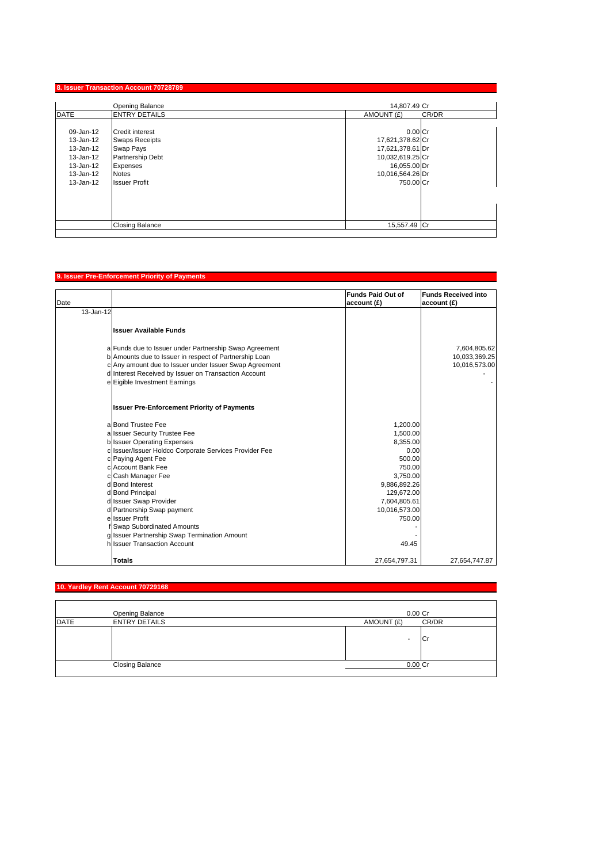|                                                                                         | Opening Balance                                                                                                                      | 14,807.49 Cr                                                                                                           |  |
|-----------------------------------------------------------------------------------------|--------------------------------------------------------------------------------------------------------------------------------------|------------------------------------------------------------------------------------------------------------------------|--|
| <b>DATE</b><br><b>ENTRY DETAILS</b><br>CR/DR<br>AMOUNT (£)                              |                                                                                                                                      |                                                                                                                        |  |
| 09-Jan-12<br>13-Jan-12<br>13-Jan-12<br>13-Jan-12<br>13-Jan-12<br>13-Jan-12<br>13-Jan-12 | <b>Credit interest</b><br><b>Swaps Receipts</b><br>Swap Pays<br>Partnership Debt<br>Expenses<br><b>Notes</b><br><b>Issuer Profit</b> | $0.00C$ r<br>17,621,378.62 Cr<br>17,621,378.61 Dr<br>10,032,619.25 Cr<br>16,055.00 Dr<br>10,016,564.26 Dr<br>750.00 Cr |  |
|                                                                                         | <b>Closing Balance</b>                                                                                                               | 15,557.49 Cr                                                                                                           |  |

# **9. Issuer Pre-Enforcement Priority of Payments**

| Date |                                                                                                                                                                                                                                                                     | <b>Funds Paid Out of</b><br>account (£) | <b>Funds Received into</b><br>account (£)      |
|------|---------------------------------------------------------------------------------------------------------------------------------------------------------------------------------------------------------------------------------------------------------------------|-----------------------------------------|------------------------------------------------|
|      | 13-Jan-12                                                                                                                                                                                                                                                           |                                         |                                                |
|      | <b>Issuer Available Funds</b>                                                                                                                                                                                                                                       |                                         |                                                |
|      | a Funds due to Issuer under Partnership Swap Agreement<br>b Amounts due to Issuer in respect of Partnership Loan<br>c Any amount due to Issuer under Issuer Swap Agreement<br>d Interest Received by Issuer on Transaction Account<br>e Eigible Investment Earnings |                                         | 7,604,805.62<br>10,033,369.25<br>10,016,573.00 |
|      | <b>Issuer Pre-Enforcement Priority of Payments</b>                                                                                                                                                                                                                  |                                         |                                                |
|      | a Bond Trustee Fee                                                                                                                                                                                                                                                  | 1,200.00                                |                                                |
|      | a Issuer Security Trustee Fee                                                                                                                                                                                                                                       | 1,500.00                                |                                                |
|      | b Issuer Operating Expenses                                                                                                                                                                                                                                         | 8,355.00                                |                                                |
|      | c Issuer/Issuer Holdco Corporate Services Provider Fee                                                                                                                                                                                                              | 0.00                                    |                                                |
|      | c Paying Agent Fee                                                                                                                                                                                                                                                  | 500.00                                  |                                                |
|      | c Account Bank Fee                                                                                                                                                                                                                                                  | 750.00                                  |                                                |
|      | c Cash Manager Fee                                                                                                                                                                                                                                                  | 3,750.00                                |                                                |
|      | d Bond Interest                                                                                                                                                                                                                                                     | 9,886,892.26                            |                                                |
|      | d Bond Principal                                                                                                                                                                                                                                                    | 129,672.00                              |                                                |
|      | d Issuer Swap Provider                                                                                                                                                                                                                                              | 7,604,805.61                            |                                                |
|      | d Partnership Swap payment<br>ellssuer Profit                                                                                                                                                                                                                       | 10,016,573.00                           |                                                |
|      | Swap Subordinated Amounts                                                                                                                                                                                                                                           | 750.00                                  |                                                |
|      | g Issuer Partnership Swap Termination Amount                                                                                                                                                                                                                        |                                         |                                                |
|      | h Issuer Transaction Account                                                                                                                                                                                                                                        | 49.45                                   |                                                |
|      | <b>Totals</b>                                                                                                                                                                                                                                                       | 27,654,797.31                           | 27,654,747.87                                  |

# **10. Yardley Rent Account 70729168**

|             | Opening Balance        | $0.00$ Cr  |       |
|-------------|------------------------|------------|-------|
| <b>DATE</b> | <b>ENTRY DETAILS</b>   | AMOUNT (£) | CR/DR |
|             |                        | ۰          | וטו   |
|             | <b>Closing Balance</b> | 0.00 Cr    |       |